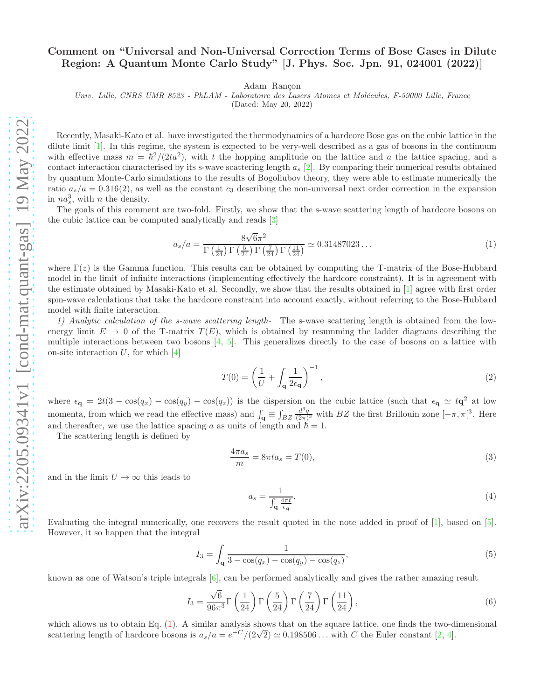## Comment on "Universal and Non-Universal Correction Terms of Bose Gases in Dilute Region: A Quantum Monte Carlo Study" [J. Phys. Soc. Jpn. 91, 024001 (2022)]

Adam Rançon

Univ. Lille, CNRS UMR 8523 - PhLAM - Laboratoire des Lasers Atomes et Molécules, F-59000 Lille, France

(Dated: May 20, 2022)

Recently, Masaki-Kato et al. have investigated the thermodynamics of a hardcore Bose gas on the cubic lattice in the dilute limit [\[1\]](#page-2-0). In this regime, the system is expected to be very-well described as a gas of bosons in the continuum with effective mass  $m = \hbar^2/(2ta^2)$ , with t the hopping amplitude on the lattice and a the lattice spacing, and a contact interaction characterised by its s-wave scattering length  $a_s$  [\[2](#page-2-1)]. By comparing their numerical results obtained by quantum Monte-Carlo simulations to the results of Bogoliubov theory, they were able to estimate numerically the ratio  $a_s/a = 0.316(2)$ , as well as the constant  $c_3$  describing the non-universal next order correction in the expansion in  $na_s^3$ , with *n* the density.

The goals of this comment are two-fold. Firstly, we show that the s-wave scattering length of hardcore bosons on the cubic lattice can be computed analytically and reads [\[3](#page-2-2)]

<span id="page-0-0"></span>
$$
a_s/a = \frac{8\sqrt{6}\pi^2}{\Gamma\left(\frac{1}{24}\right)\Gamma\left(\frac{5}{24}\right)\Gamma\left(\frac{7}{24}\right)\Gamma\left(\frac{11}{24}\right)} \simeq 0.31487023\ldots\tag{1}
$$

where  $\Gamma(z)$  is the Gamma function. This results can be obtained by computing the T-matrix of the Bose-Hubbard model in the limit of infinite interactions (implementing effectively the hardcore constraint). It is in agreement with the estimate obtained by Masaki-Kato et al. Secondly, we show that the results obtained in [\[1](#page-2-0)] agree with first order spin-wave calculations that take the hardcore constraint into account exactly, without referring to the Bose-Hubbard model with finite interaction.

1) Analytic calculation of the s-wave scattering length- The s-wave scattering length is obtained from the lowenergy limit  $E \to 0$  of the T-matrix  $T(E)$ , which is obtained by resumming the ladder diagrams describing the multiple interactions between two bosons  $[4, 5]$  $[4, 5]$  $[4, 5]$ . This generalizes directly to the case of bosons on a lattice with on-site interaction  $U$ , for which  $[4]$ 

$$
T(0) = \left(\frac{1}{U} + \int_{\mathbf{q}} \frac{1}{2\epsilon_{\mathbf{q}}}\right)^{-1},\tag{2}
$$

where  $\epsilon_{\mathbf{q}} = 2t(3 - \cos(q_x) - \cos(q_y) - \cos(q_z))$  is the dispersion on the cubic lattice (such that  $\epsilon_{\mathbf{q}} \simeq t\mathbf{q}^2$  at low momenta, from which we read the effective mass) and  $\int_{\mathbf{q}} \equiv \int_{BZ}$  $\frac{d^3q}{(2\pi)^3}$  with BZ the first Brillouin zone  $[-\pi, \pi]^3$ . Here and thereafter, we use the lattice spacing a as units of length and  $h = 1$ .

The scattering length is defined by

$$
\frac{4\pi a_s}{m} = 8\pi t a_s = T(0),\tag{3}
$$

and in the limit  $U \to \infty$  this leads to

<span id="page-0-1"></span>
$$
a_s = \frac{1}{\int_{\mathbf{q}} \frac{4\pi t}{\epsilon_{\mathbf{q}}}}.\tag{4}
$$

Evaluating the integral numerically, one recovers the result quoted in the note added in proof of [\[1](#page-2-0)], based on [\[5\]](#page-2-4). However, it so happen that the integral

$$
I_3 = \int_{\mathbf{q}} \frac{1}{3 - \cos(q_x) - \cos(q_y) - \cos(q_z)},\tag{5}
$$

known as one of Watson's triple integrals [\[6\]](#page-2-5), can be performed analytically and gives the rather amazing result

$$
I_3 = \frac{\sqrt{6}}{96\pi^3} \Gamma\left(\frac{1}{24}\right) \Gamma\left(\frac{5}{24}\right) \Gamma\left(\frac{7}{24}\right) \Gamma\left(\frac{11}{24}\right),\tag{6}
$$

which allows us to obtain Eq. [\(1\)](#page-0-0). A similar analysis shows that on the square lattice, one finds the two-dimensional scattering length of hardcore bosons is  $a_s/a = e^{-C}/(2\sqrt{2}) \simeq 0.198506...$  with C the Euler constant [\[2](#page-2-1), [4](#page-2-3)].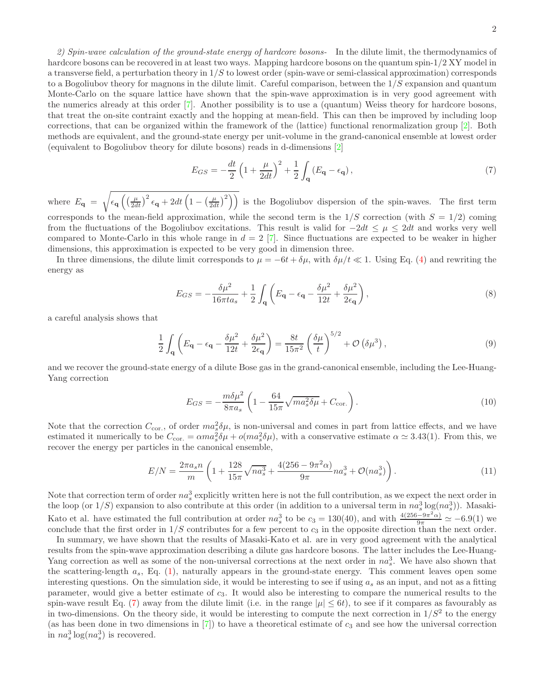2) Spin-wave calculation of the ground-state energy of hardcore bosons- In the dilute limit, the thermodynamics of hardcore bosons can be recovered in at least two ways. Mapping hardcore bosons on the quantum spin-1/2 XY model in a transverse field, a perturbation theory in  $1/S$  to lowest order (spin-wave or semi-classical approximation) corresponds to a Bogoliubov theory for magnons in the dilute limit. Careful comparison, between the  $1/S$  expansion and quantum Monte-Carlo on the square lattice have shown that the spin-wave approximation is in very good agreement with the numerics already at this order [\[7\]](#page-2-6). Another possibility is to use a (quantum) Weiss theory for hardcore bosons, that treat the on-site contraint exactly and the hopping at mean-field. This can then be improved by including loop corrections, that can be organized within the framework of the (lattice) functional renormalization group [\[2\]](#page-2-1). Both methods are equivalent, and the ground-state energy per unit-volume in the grand-canonical ensemble at lowest order (equivalent to Bogoliubov theory for dilute bosons) reads in d-dimensions [\[2](#page-2-1)]

<span id="page-1-0"></span>
$$
E_{GS} = -\frac{dt}{2} \left( 1 + \frac{\mu}{2dt} \right)^2 + \frac{1}{2} \int_{\mathbf{q}} \left( E_{\mathbf{q}} - \epsilon_{\mathbf{q}} \right),\tag{7}
$$

where  $E_{\mathbf{q}} = \sqrt{\epsilon_{\mathbf{q}} \left( \left( \frac{\mu}{2dt} \right)^2 \epsilon_{\mathbf{q}} + 2dt \left( 1 - \left( \frac{\mu}{2dt} \right)^2 \right) \right)}$  is the Bogoliubov dispersion of the spin-waves. The first term corresponds to the mean-field approximation, while the second term is the  $1/S$  correction (with  $S = 1/2$ ) coming from the fluctuations of the Bogoliubov excitations. This result is valid for  $-2dt \leq \mu \leq 2dt$  and works very well compared to Monte-Carlo in this whole range in  $d = 2$  [\[7\]](#page-2-6). Since fluctuations are expected to be weaker in higher dimensions, this approximation is expected to be very good in dimension three.

In three dimensions, the dilute limit corresponds to  $\mu = -6t + \delta\mu$ , with  $\delta\mu/\ell \ll 1$ . Using Eq. [\(4\)](#page-0-1) and rewriting the energy as

$$
E_{GS} = -\frac{\delta\mu^2}{16\pi t a_s} + \frac{1}{2} \int_{\mathbf{q}} \left( E_{\mathbf{q}} - \epsilon_{\mathbf{q}} - \frac{\delta\mu^2}{12t} + \frac{\delta\mu^2}{2\epsilon_{\mathbf{q}}} \right),\tag{8}
$$

a careful analysis shows that

$$
\frac{1}{2} \int_{\mathbf{q}} \left( E_{\mathbf{q}} - \epsilon_{\mathbf{q}} - \frac{\delta \mu^2}{12t} + \frac{\delta \mu^2}{2\epsilon_{\mathbf{q}}} \right) = \frac{8t}{15\pi^2} \left( \frac{\delta \mu}{t} \right)^{5/2} + \mathcal{O}\left(\delta \mu^3\right),\tag{9}
$$

and we recover the ground-state energy of a dilute Bose gas in the grand-canonical ensemble, including the Lee-Huang-Yang correction

$$
E_{GS} = -\frac{m\delta\mu^2}{8\pi a_s} \left( 1 - \frac{64}{15\pi} \sqrt{ma_s^2 \delta\mu} + C_{\text{cor.}} \right). \tag{10}
$$

Note that the correction  $C_{\text{cor.}}$ , of order  $ma_g^2 \delta \mu$ , is non-universal and comes in part from lattice effects, and we have estimated it numerically to be  $C_{\text{cor.}} = \alpha m a_s^2 \delta \mu + o(m a_s^2 \delta \mu)$ , with a conservative estimate  $\alpha \simeq 3.43(1)$ . From this, we recover the energy per particles in the canonical ensemble,

$$
E/N = \frac{2\pi a_s n}{m} \left( 1 + \frac{128}{15\pi} \sqrt{na_s^3} + \frac{4(256 - 9\pi^2 \alpha)}{9\pi} na_s^3 + \mathcal{O}(na_s^3) \right). \tag{11}
$$

Note that correction term of order  $na_s^3$  explicitly written here is not the full contribution, as we expect the next order in the loop (or  $1/S$ ) expansion to also contribute at this order (in addition to a universal term in  $na_s^3 \log(na_s^3)$ ). Masaki-Kato et al. have estimated the full contribution at order  $na_s^3$  to be  $c_3 = 130(40)$ , and with  $\frac{4(256-9\pi^2\alpha)}{9\pi} \simeq -6.9(1)$  we conclude that the first order in  $1/S$  contributes for a few percent to  $c_3$  in the opposite direction than the next order.

In summary, we have shown that the results of Masaki-Kato et al. are in very good agreement with the analytical results from the spin-wave approximation describing a dilute gas hardcore bosons. The latter includes the Lee-Huang-Yang correction as well as some of the non-universal corrections at the next order in  $na_s^3$ . We have also shown that the scattering-length  $a_s$ , Eq. [\(1\)](#page-0-0), naturally appears in the ground-state energy. This comment leaves open some interesting questions. On the simulation side, it would be interesting to see if using  $a_s$  as an input, and not as a fitting parameter, would give a better estimate of c3. It would also be interesting to compare the numerical results to the spin-wave result Eq. [\(7\)](#page-1-0) away from the dilute limit (i.e. in the range  $|\mu| \leq 6t$ ), to see if it compares as favourably as in two-dimensions. On the theory side, it would be interesting to compute the next correction in  $1/S^2$  to the energy (as has been done in two dimensions in  $\vert 7 \vert$ ) to have a theoretical estimate of  $c_3$  and see how the universal correction in  $na_s^3 \log(na_s^3)$  is recovered.